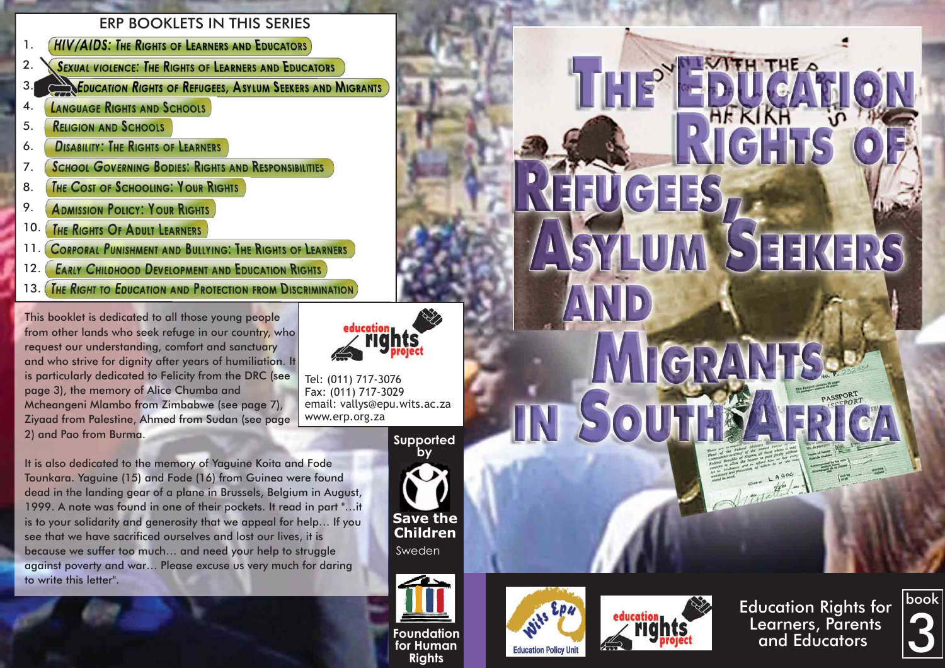#### ERP BOOKLETS IN THIS SERIES

- **HIV/AIDS: THE RIGHTS OF LEARNERS AND EDUCATORS** 1.
- **SEXUAL VIOLENCE: THE RIGHTS OF LEARNERS AND EDUCATORS** 2.
- 3. **EDUCATION RIGHTS OF REFUGEES, ASYLUM SEEKERS AND MIGRANTS**
- **LANGUAGE RIGHTS AND SCHOOLS** 4.
- **RELIGION AND SCHOOLS** 5.
- **DISABILITY: THE RIGHTS OF LEARNERS** 6.
- **SCHOOL GOVERNING BODIES: RIGHTS AND RESPONSIBILITIES** 7.
- THE COST OF SCHOOLING: YOUR RIGHTS 8.
- 9. **ADMISSION POLICY: YOUR RIGHTS**
- THE RIGHTS OF ADULT LEARNERS 10.
- **CORPORAL PUNISHMENT AND BULLYING: THE RIGHTS OF LEARNERS** 11.
- **EARLY CHILDHOOD DEVELOPMENT AND EDUCATION RIGHTS** 12.
- THE RIGHT TO EDUCATION AND PROTECTION FROM DISCRIMINATION  $13.1$

This booklet is dedicated to all those young people from other lands who seek refuge in our country, who request our understanding, comfort and sanctuary and who strive for dignity after years of humiliation. It is particularly dedicated to Felicity from the DRC (see page 3), the memory of Alice Chumba and Mcheangeni Mlambo from Zimbabwe (see page 7), Ziyaad from Palestine, Ahmed from Sudan (see page 2) and Pao from Burma.

It is also dedicated to the memory of Yaguine Koita and Fode Tounkara. Yaguine (15) and Fode (16) from Guinea were found dead in the landing gear of a plane in Brussels, Belgium in August, 1999. A note was found in one of their pockets. It read in part "…it is to your solidarity and generosity that we appeal for help… If you see that we have sacrificed ourselves and lost our lives, it is because we suffer too much… and need your help to struggle against poverty and war… Please excuse us very much for daring to write this letter".



Tel: (011) 717-3076 Fax: (011) 717-3029 email: vallys@epu.wits.ac.za www.erp.org.za

**Supported** 





**Foundation for Human Rights**





EFUGHES

ASTUM

IN South

MIGRA

Education Rights for Learners, Parents and Educators

STEMERS

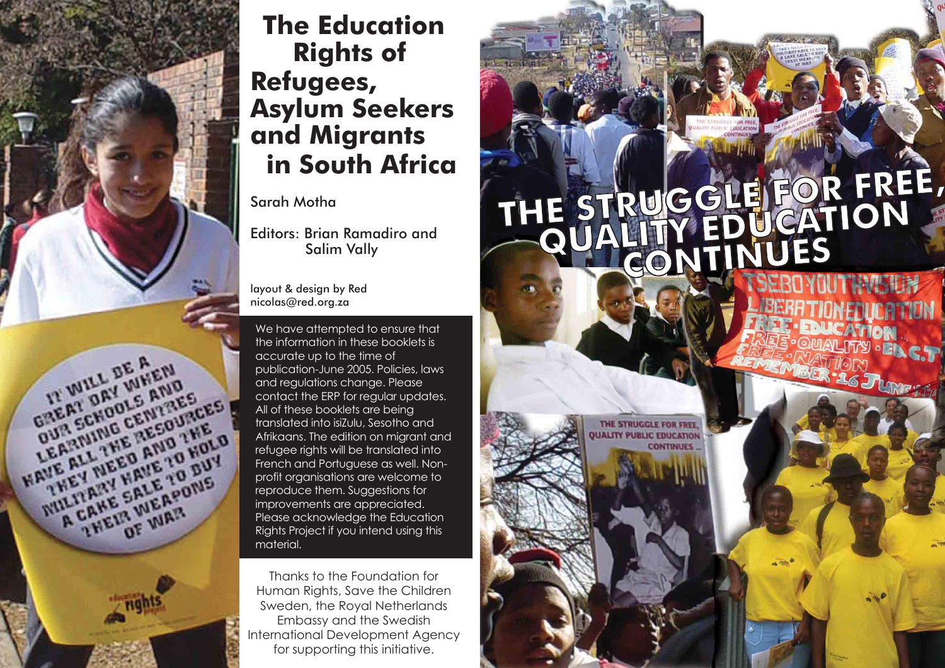

# **The Education Rights of Refugees, Asylum Seekers and Migrants in South Africa**

#### Sarah Motha

Editors: Brian Ramadiro and Salim Vally

layout & design by Red nicolas@red.org.za

We have attempted to ensure that the information in these booklets is accurate up to the time of publication-June 2005. Policies, laws and regulations change. Please contact the ERP for regular updates. All of these booklets are being translated into isiZulu, Sesotho and Afrikaans. The edition on migrant and refugee rights will be translated into French and Portuguese as well. Nonprofit organisations are welcome to reproduce them. Suggestions for improvements are appreciated. Please acknowledge the Education Rights Project if you intend using this material.

Thanks to the Foundation for Human Rights, Save the Children Sweden, the Royal Netherlands Embassy and the Swedish International Development Agency for supporting this initiative.

# THE STRUGGLE FOR FREE,

THE STRUGGLE FOR FREE **PUBLIC EDUCATIO** 

**CONTINUES**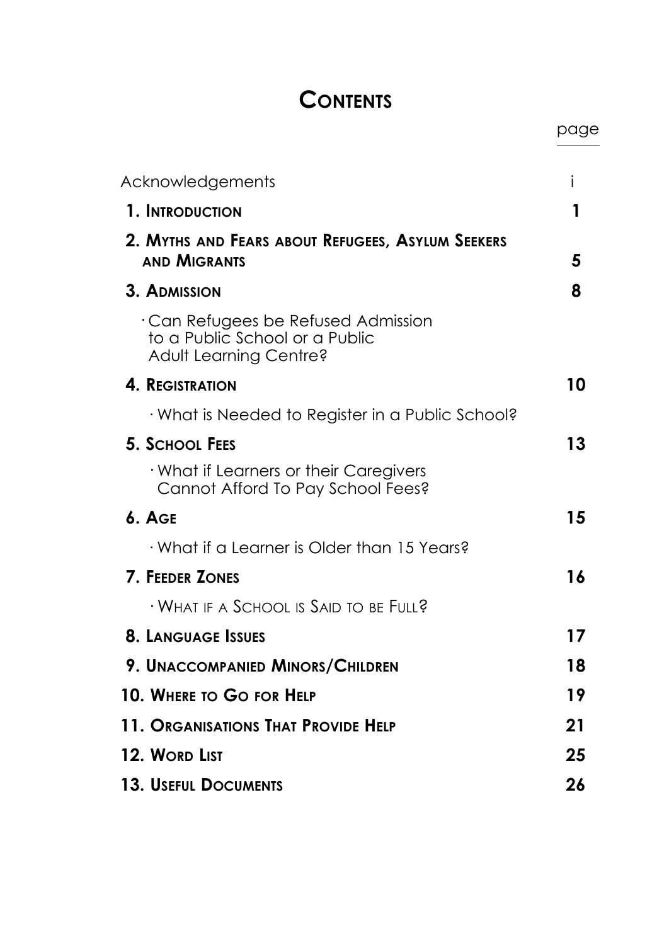# **CONTENTS**

page

| Acknowledgements                                                                                      | i  |
|-------------------------------------------------------------------------------------------------------|----|
| 1. INTRODUCTION                                                                                       | 1  |
| 2. MYTHS AND FEARS ABOUT REFUGEES, ASYLUM SEEKERS<br><b>AND MIGRANTS</b>                              | 5  |
| 3. ADMISSION                                                                                          | 8  |
| $\cdot$ Can Refugees be Refused Admission<br>to a Public School or a Public<br>Adult Learning Centre? |    |
| <b>4. REGISTRATION</b>                                                                                | 10 |
| · What is Needed to Register in a Public School?                                                      |    |
| 5. SCHOOL FEES                                                                                        | 13 |
| · What if Learners or their Caregivers<br>Cannot Afford To Pay School Fees?                           |    |
| $6.$ AGE                                                                                              | 15 |
| $\cdot$ What if a Learner is Older than 15 Years?                                                     |    |
| <b>7. FEEDER ZONES</b>                                                                                | 16 |
| $\cdot$ What if a School is Said to be Full?                                                          |    |
| <b>8. LANGUAGE ISSUES</b>                                                                             | 17 |
| 9. UNACCOMPANIED MINORS/CHILDREN                                                                      | 18 |
| 10. Where to Go for Help                                                                              | 19 |
| 11. Organisations That Provide Help                                                                   | 21 |
| 12. Word List                                                                                         | 25 |
| <b>13. USEFUL DOCUMENTS</b>                                                                           | 26 |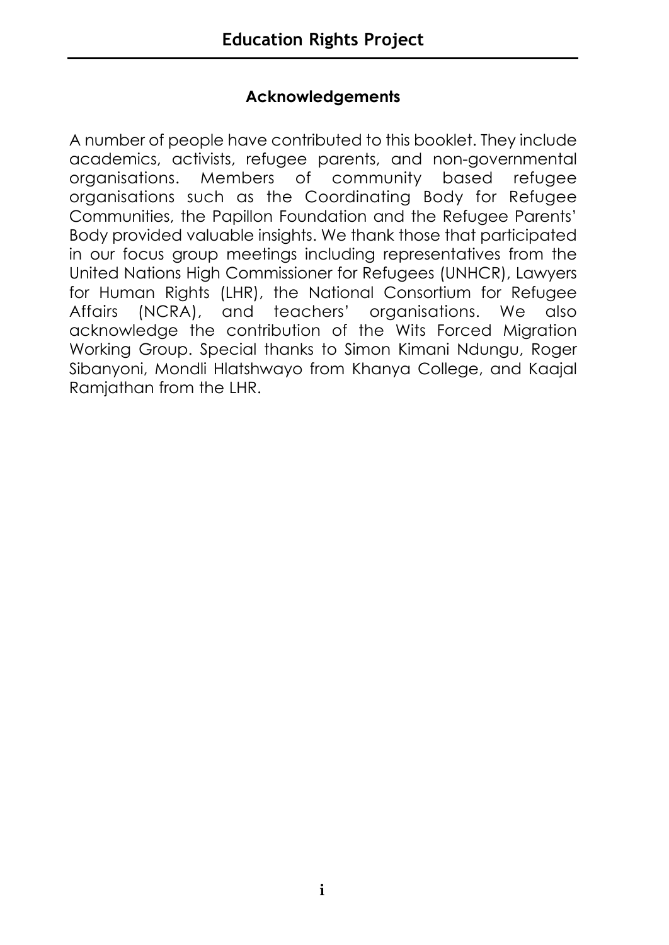#### **Acknowledgements**

A number of people have contributed to this booklet. They include academics, activists, refugee parents, and non-governmental organisations. Members of community based refugee organisations such as the Coordinating Body for Refugee Communities, the Papillon Foundation and the Refugee Parents' Body provided valuable insights. We thank those that participated in our focus group meetings including representatives from the United Nations High Commissioner for Refugees (UNHCR), Lawyers for Human Rights (LHR), the National Consortium for Refugee Affairs (NCRA), and teachers' organisations. We also acknowledge the contribution of the Wits Forced Migration Working Group. Special thanks to Simon Kimani Ndungu, Roger Sibanyoni, Mondli Hlatshwayo from Khanya College, and Kaajal Ramjathan from the LHR.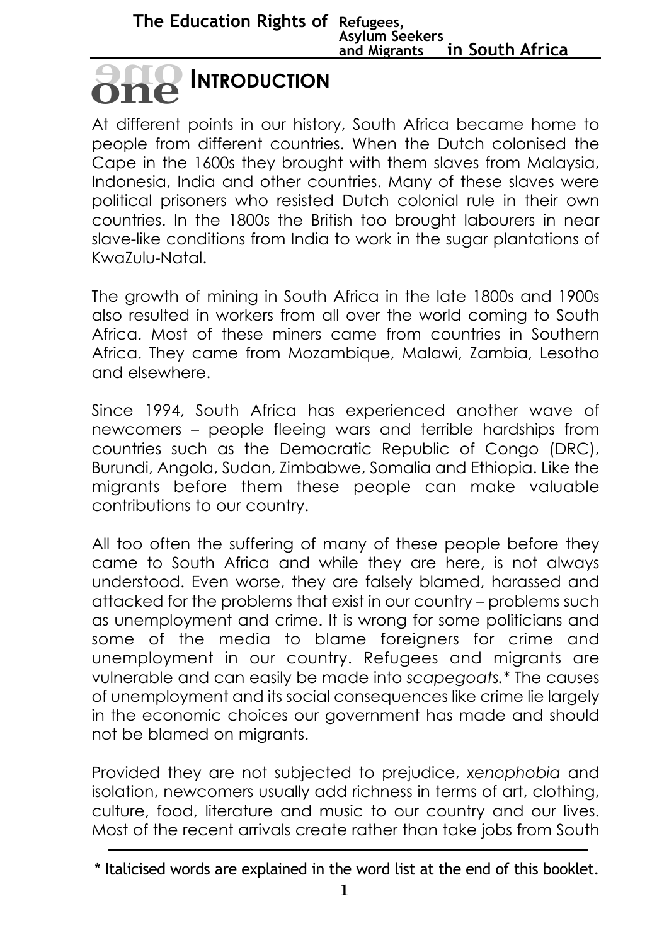# **INTRODUCTION oneone**

At different points in our history, South Africa became home to people from different countries. When the Dutch colonised the Cape in the 1600s they brought with them slaves from Malaysia, Indonesia, India and other countries. Many of these slaves were political prisoners who resisted Dutch colonial rule in their own countries. In the 1800s the British too brought labourers in near slave-like conditions from India to work in the sugar plantations of KwaZulu-Natal.

The growth of mining in South Africa in the late 1800s and 1900s also resulted in workers from all over the world coming to South Africa. Most of these miners came from countries in Southern Africa. They came from Mozambique, Malawi, Zambia, Lesotho and elsewhere.

Since 1994, South Africa has experienced another wave of newcomers – people fleeing wars and terrible hardships from countries such as the Democratic Republic of Congo (DRC), Burundi, Angola, Sudan, Zimbabwe, Somalia and Ethiopia. Like the migrants before them these people can make valuable contributions to our country.

All too often the suffering of many of these people before they came to South Africa and while they are here, is not always understood. Even worse, they are falsely blamed, harassed and attacked for the problems that exist in our country – problems such as unemployment and crime. It is wrong for some politicians and some of the media to blame foreigners for crime and unemployment in our country. Refugees and migrants are vulnerable and can easily be made into *scapegoats.\** The causes of unemployment and its social consequences like crime lie largely in the economic choices our government has made and should not be blamed on migrants.

Provided they are not subjected to prejudice, *xenophobia* and isolation, newcomers usually add richness in terms of art, clothing, culture, food, literature and music to our country and our lives. Most of the recent arrivals create rather than take jobs from South

<sup>\*</sup> Italicised words are explained in the word list at the end of this booklet.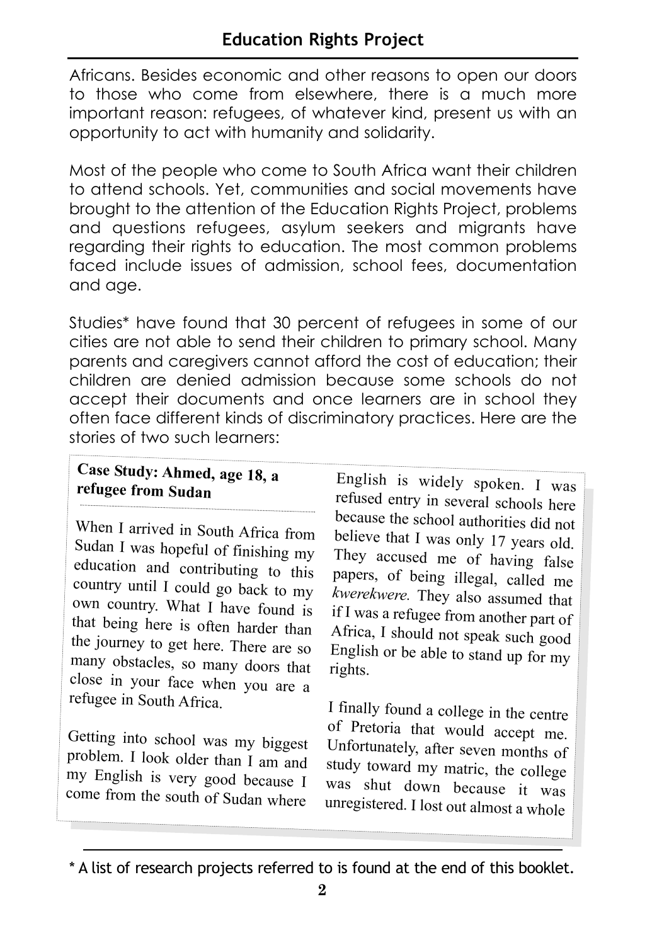Africans. Besides economic and other reasons to open our doors to those who come from elsewhere, there is a much more important reason: refugees, of whatever kind, present us with an opportunity to act with humanity and solidarity.

Most of the people who come to South Africa want their children to attend schools. Yet, communities and social movements have brought to the attention of the Education Rights Project, problems and questions refugees, asylum seekers and migrants have regarding their rights to education. The most common problems faced include issues of admission, school fees, documentation and age.

Studies\* have found that 30 percent of refugees in some of our cities are not able to send their children to primary school. Many parents and caregivers cannot afford the cost of education; their children are denied admission because some schools do not accept their documents and once learners are in school they often face different kinds of discriminatory practices. Here are the stories of two such learners:

#### **Case Study: Ahmed, age 18, a refugee from Sudan**

When I arrived in South Africa from Sudan I was hopeful of finishing my education and contributing to this country until I could go back to my own country. What I have found is that being here is often harder than the journey to get here. There are so many obstacles, so many doors that close in your face when you are a refugee in South Africa.

Getting into school was my biggest problem. I look older than I am and my English is very good because I come from the south of Sudan where

English is widely spoken. I was refused entry in several schools here because the school authorities did not believe that I was only 17 years old. They accused me of having false papers, of being illegal, called me *kwerekwere.* They also assumed that if I was a refugee from another part of Africa, I should not speak such good English or be able to stand up for my rights.

I finally found a college in the centre of Pretoria that would accept me. Unfortunately, after seven months of study toward my matric, the college was shut down because it was unregistered. I lost out almost a whole

<sup>\*</sup> A list of research projects referred to is found at the end of this booklet.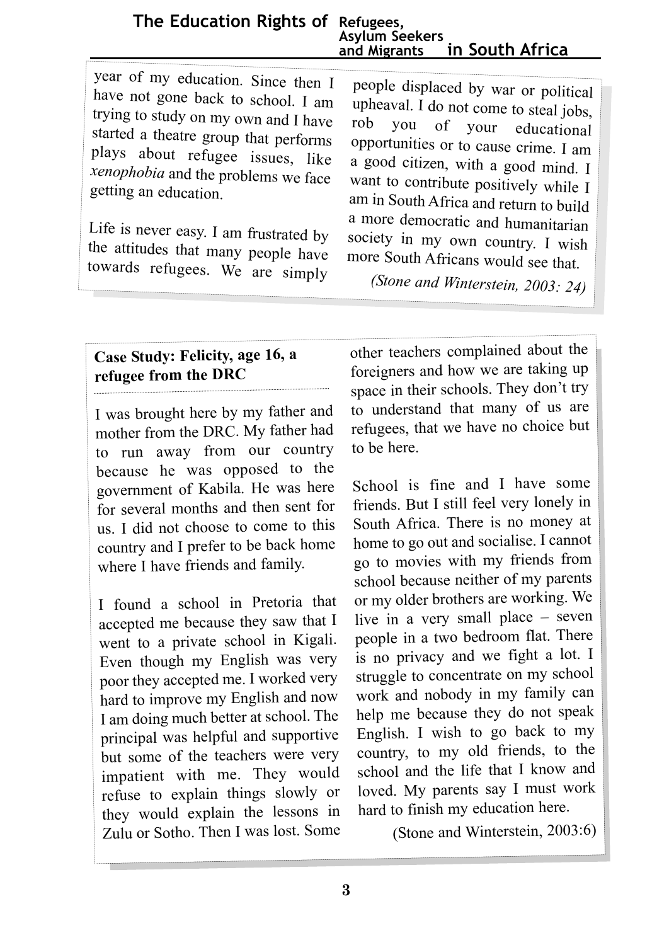**The Education Rights of Refugees, Asylum Seekers in South Africa** 

year of my education. Since then I have not gone back to school. I am trying to study on my own and I have started a theatre group that performs plays about refugee issues, like *xenophobia* and the problems we face getting an education.

Life is never easy. I am frustrated by the attitudes that many people have towards refugees. We are simply

people displaced by war or political upheaval. I do not come to steal jobs, vou of your educational opportunities or to cause crime. I am a good citizen, with a good mind. I want to contribute positively while I am in South Africa and return to build a more democratic and humanitarian society in my own country. I wish more South Africans would see that.

*(Stone and Winterstein, 2003: 24)*

#### **Case Study: Felicity, age 16, a refugee from the DRC**

I was brought here by my father and mother from the DRC. My father had to run away from our country because he was opposed to the government of Kabila. He was here for several months and then sent for us. I did not choose to come to this country and I prefer to be back home where I have friends and family.

I found a school in Pretoria that accepted me because they saw that I went to a private school in Kigali. Even though my English was very poor they accepted me. I worked very hard to improve my English and now I am doing much better at school. The principal was helpful and supportive but some of the teachers were very impatient with me. They would refuse to explain things slowly or they would explain the lessons in Zulu or Sotho. Then I was lost. Some

other teachers complained about the foreigners and how we are taking up space in their schools. They don't try to understand that many of us are refugees, that we have no choice but to be here.

School is fine and I have some friends. But I still feel very lonely in South Africa. There is no money at home to go out and socialise. I cannot go to movies with my friends from school because neither of my parents or my older brothers are working. We live in a very small place – seven people in a two bedroom flat. There is no privacy and we fight a lot. I struggle to concentrate on my school work and nobody in my family can help me because they do not speak English. I wish to go back to my country, to my old friends, to the school and the life that I know and loved. My parents say I must work hard to finish my education here.

(Stone and Winterstein, 2003:6)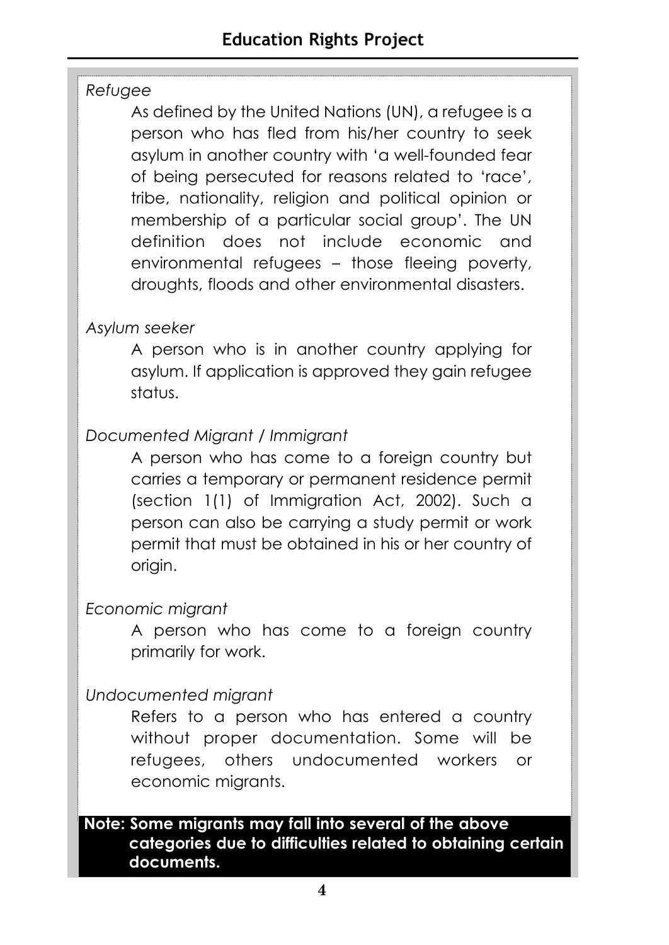#### *Refugee*

As defined by the United Nations (UN), a refugee is a person who has fled from his/her country to seek asylum in another country with 'a well-founded fear of being persecuted for reasons related to 'race', tribe, nationality, religion and political opinion or membership of a particular social group'. The UN definition does not include economic and environmental refugees – those fleeing poverty, droughts, floods and other environmental disasters.

#### *Asylum seeker*

A person who is in another country applying for asylum. If application is approved they gain refugee status.

#### *Documented Migrant / Immigrant*

A person who has come to a foreign country but carries a temporary or permanent residence permit (section 1(1) of Immigration Act, 2002). Such a person can also be carrying a study permit or work permit that must be obtained in his or her country of origin.

#### *Economic migrant*

A person who has come to a foreign country primarily for work.

#### *Undocumented migrant*

Refers to a person who has entered a country without proper documentation. Some will be refugees, others undocumented workers or economic migrants.

#### **Note: Some migrants may fall into several of the above categories due to difficulties related to obtaining certain documents.**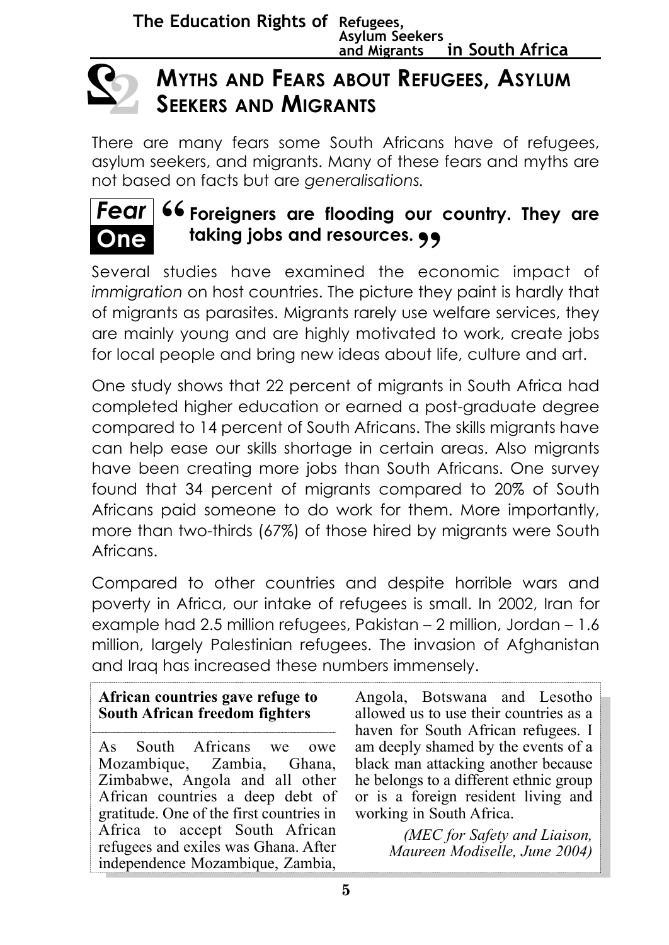

# **MYTHS AND FEARS ABOUT REFUGEES, ASYLUM SEEKERS AND MIGRANTS**

There are many fears some South Africans have of refugees, asylum seekers, and migrants. Many of these fears and myths are not based on facts but are *generalisations.*



# **Fear** 66 Foreigners are flooding our country. They are<br>**One** taking jobs and resources.  $\bullet$ **taking jobs and resources. "**

Several studies have examined the economic impact of *immigration* on host countries. The picture they paint is hardly that of migrants as parasites. Migrants rarely use welfare services, they are mainly young and are highly motivated to work, create jobs for local people and bring new ideas about life, culture and art.

One study shows that 22 percent of migrants in South Africa had completed higher education or earned a post-graduate degree compared to 14 percent of South Africans. The skills migrants have can help ease our skills shortage in certain areas. Also migrants have been creating more jobs than South Africans. One survey found that 34 percent of migrants compared to 20% of South Africans paid someone to do work for them. More importantly, more than two-thirds (67%) of those hired by migrants were South Africans.

Compared to other countries and despite horrible wars and poverty in Africa, our intake of refugees is small. In 2002, Iran for example had 2.5 million refugees, Pakistan – 2 million, Jordan – 1.6 million, largely Palestinian refugees. The invasion of Afghanistan and Iraq has increased these numbers immensely.

#### **African countries gave refuge to South African freedom fighters**

As South Africans we owe Mozambique, Zambia, Ghana, Zimbabwe, Angola and all other African countries a deep debt of gratitude. One of the first countries in Africa to accept South African refugees and exiles was Ghana. After independence Mozambique, Zambia,

Angola, Botswana and Lesotho allowed us to use their countries as a haven for South African refugees. I am deeply shamed by the events of a black man attacking another because he belongs to a different ethnic group or is a foreign resident living and working in South Africa.

> *(MEC for Safety and Liaison, Maureen Modiselle, June 2004)*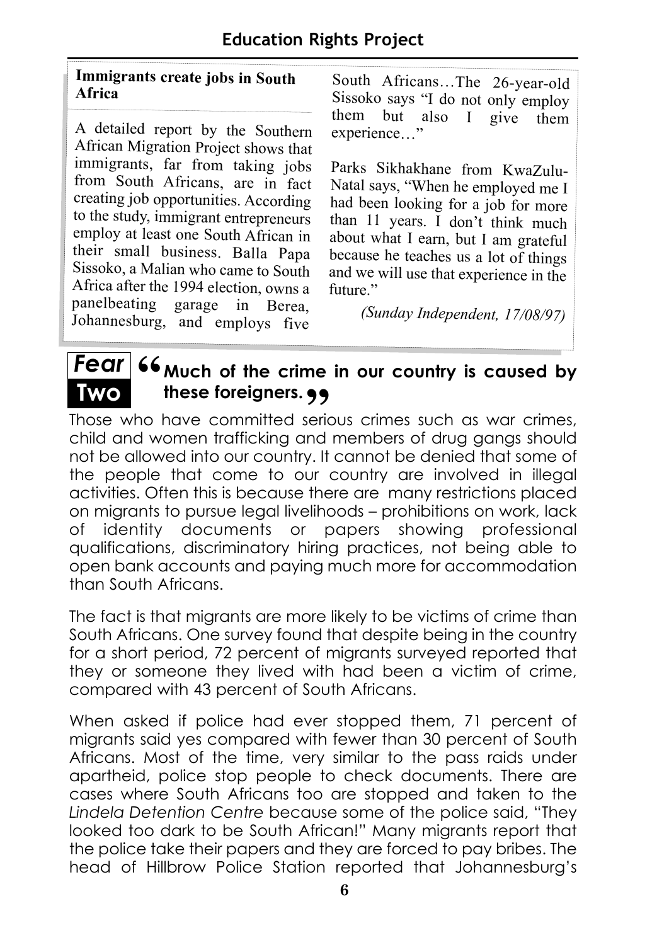#### **Immigrants create jobs in South Africa**

<sup>A</sup> detailed report by the Southern African Migration Project shows that immigrants, far from taking jobs from South Africans, are in fact creating job opportunities. According to the study, immigrant entrepreneurs employ at least one South African in their small business. Balla Papa Sissoko, a Malian who came to South Africa after the 1994 election, owns a panelbeating garage in Berea, Johannesburg, and employs five

**Two**

South Africans…The 26-year-old Sissoko says "I do not only employ<br>them but also I give them them but also  $I$ experience…"

Parks Sikhakhane from KwaZulu-Natal says, "When he employed me I had been looking for a job for more than 11 years. I don't think much about what I earn, but I am grateful because he teaches us a lot of things and we will use that experience in the future."

*(Sunday Independent, 17/08/97)*

# **Fear** 66 <sub>Much</sub> of the crime in our country is caused by **these foreigners.**

**TWO** these foreigners. •• **(1)**<br>Those who have committed serious crimes such as war crimes, child and women trafficking and members of drug gangs should not be allowed into our country. It cannot be denied that some of the people that come to our country are involved in illegal activities. Often this is because there are many restrictions placed on migrants to pursue legal livelihoods – prohibitions on work, lack of identity documents or papers showing professional qualifications, discriminatory hiring practices, not being able to open bank accounts and paying much more for accommodation than South Africans.

The fact is that migrants are more likely to be victims of crime than South Africans. One survey found that despite being in the country for a short period, 72 percent of migrants surveyed reported that they or someone they lived with had been a victim of crime, compared with 43 percent of South Africans.

When asked if police had ever stopped them, 71 percent of migrants said yes compared with fewer than 30 percent of South Africans. Most of the time, very similar to the pass raids under apartheid, police stop people to check documents. There are cases where South Africans too are stopped and taken to the *Lindela Detention Centre* because some of the police said, "They looked too dark to be South African!" Many migrants report that the police take their papers and they are forced to pay bribes. The head of Hillbrow Police Station reported that Johannesburg's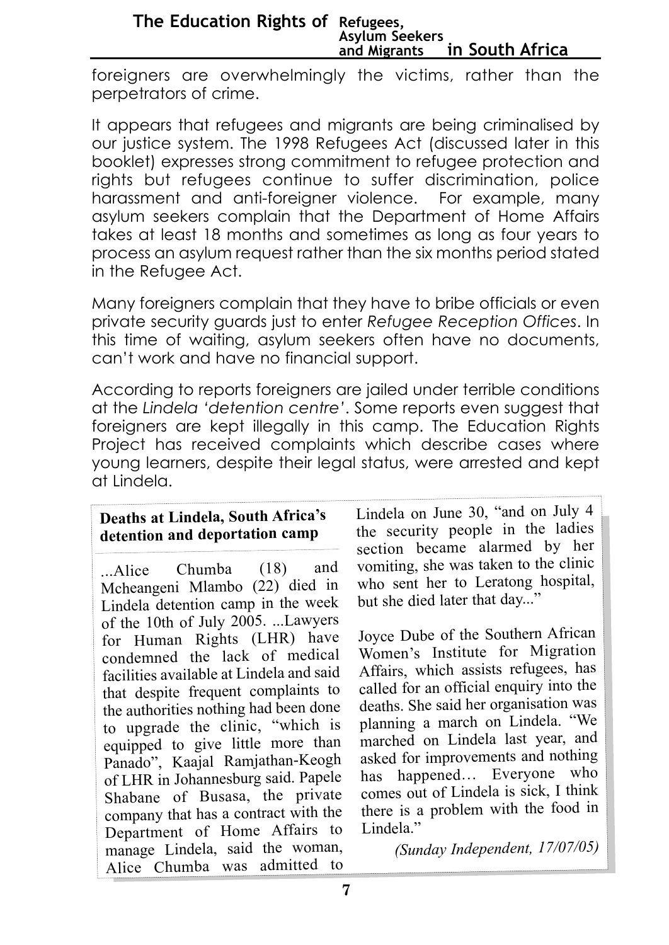#### **The Education Rights of Refugees, Asylum Seekers and Migrants in South Africa**

foreigners are overwhelmingly the victims, rather than the perpetrators of crime.

It appears that refugees and migrants are being criminalised by our justice system. The 1998 Refugees Act (discussed later in this booklet) expresses strong commitment to refugee protection and rights but refugees continue to suffer discrimination, police harassment and anti-foreigner violence. For example, many asylum seekers complain that the Department of Home Affairs takes at least 18 months and sometimes as long as four years to process an asylum request rather than the six months period stated in the Refugee Act.

Many foreigners complain that they have to bribe officials or even private security guards just to enter *Refugee Reception Offices*. In this time of waiting, asylum seekers often have no documents, can't work and have no financial support.

According to reports foreigners are jailed under terrible conditions at the *Lindela 'detention centre'*. Some reports even suggest that foreigners are kept illegally in this camp. The Education Rights Project has received complaints which describe cases where young learners, despite their legal status, were arrested and kept at Lindela.

#### **Deaths at Lindela, South Africa's detention and deportation camp**

...Alice Chumba (18) and Mcheangeni Mlambo (22) died in Lindela detention camp in the week of the 10th of July 2005. ...Lawyers for Human Rights (LHR) have condemned the lack of medical facilities available at Lindela and said that despite frequent complaints to the authorities nothing had been done to upgrade the clinic, "which is equipped to give little more than Panado", Kaajal Ramjathan-Keogh of LHR in Johannesburg said. Papele Shabane of Busasa, the private company that has a contract with the Department of Home Affairs to manage Lindela, said the woman, Alice Chumba was admitted to

Lindela on June 30, "and on July 4 the security people in the ladies section became alarmed by her vomiting, she was taken to the clinic who sent her to Leratong hospital, but she died later that day..."

Joyce Dube of the Southern African Women's Institute for Migration Affairs, which assists refugees, has called for an official enquiry into the deaths. She said her organisation was <sup>p</sup>lanning a march on Lindela. "We marched on Lindela last year, and asked for improvements and nothing has happened… Everyone who comes out of Lindela is sick, I think there is a problem with the food in Lindela."

*(Sunday Independent, 17/07/05)*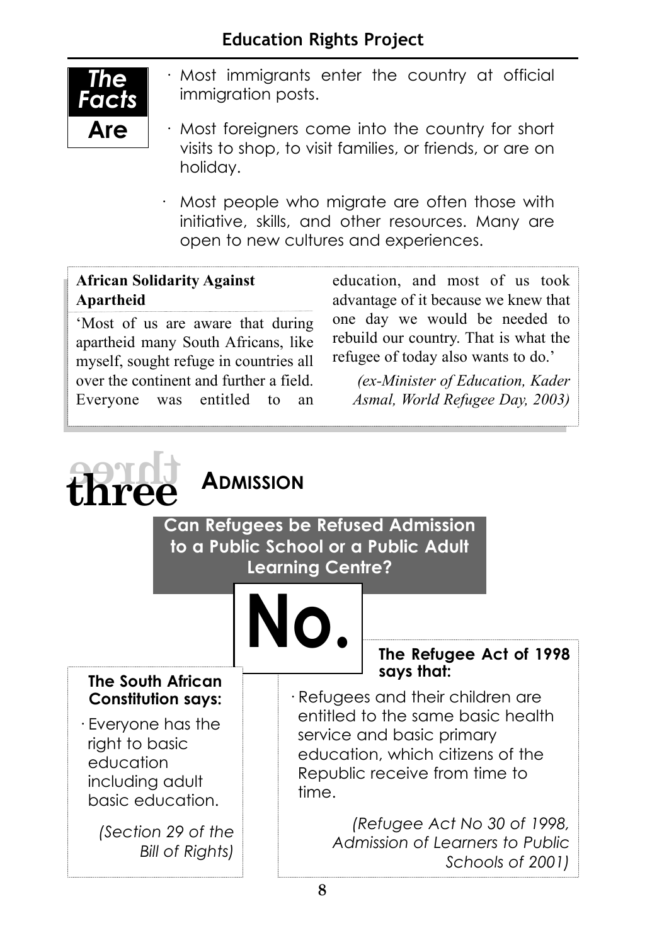#### **Education Rights Project**



- · Most immigrants enter the country at official immigration posts.
- · Most foreigners come into the country for short visits to shop, to visit families, or friends, or are on holiday.
- · Most people who migrate are often those with initiative, skills, and other resources. Many are open to new cultures and experiences.

#### **African Solidarity Against Apartheid**

'Most of us are aware that during apartheid many South Africans, like myself, sought refuge in countries all over the continent and further a field. Everyone was entitled to an education, and most of us took advantage of it because we knew that one day we would be needed to rebuild our country. That is what the refugee of today also wants to do.'

*(ex-Minister of Education, Kader Asmal, World Refugee Day, 2003)*

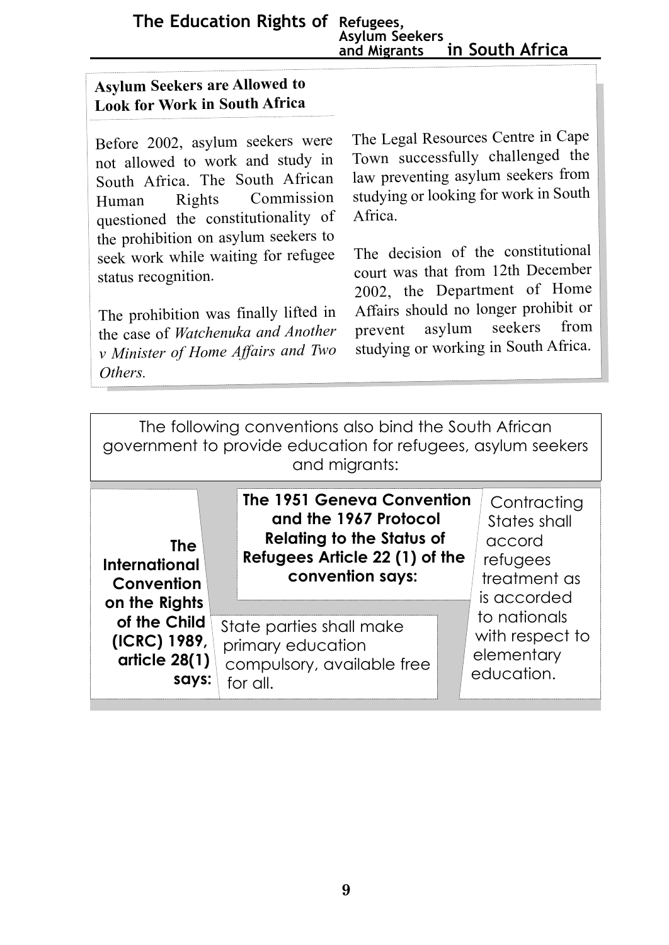**The Education Rights of Refugees, Asylum Seekers in South Africa** 

#### **Asylum Seekers are Allowed to Look for Work in South Africa**

Before 2002, asylum seekers were not allowed to work and study in South Africa. The South African Human Rights Commission questioned the constitutionality of the prohibition on asylum seekers to seek work while waiting for refugee status recognition.

The prohibition was finally lifted in the case of *Watchenuka and Another <sup>v</sup> Minister of Home Affairs and Two Others.* 

The Legal Resources Centre in Cape Town successfully challenged the law preventing asylum seekers from studying or looking for work in South Africa.

The decision of the constitutional court was that from 12th December 2002, the Department of Home Affairs should no longer prohibit or prevent asylum seekers from studying or working in South Africa.

The following conventions also bind the South African government to provide education for refugees, asylum seekers and migrants:

| The<br>International<br>Convention<br>on the Rights<br>of the Child<br>(ICRC) 1989,<br>article 28(1)<br>savs: | The 1951 Geneva Convention<br>and the 1967 Protocol<br><b>Relating to the Status of</b><br>Refugees Article 22 (1) of the<br>convention says: | Contracting<br>States shall<br>accord<br>refugees<br>treatment as<br>is accorded |
|---------------------------------------------------------------------------------------------------------------|-----------------------------------------------------------------------------------------------------------------------------------------------|----------------------------------------------------------------------------------|
|                                                                                                               | State parties shall make<br>primary education<br>compulsory, available free<br>for all.                                                       | to nationals<br>with respect to<br>elementary<br>education.                      |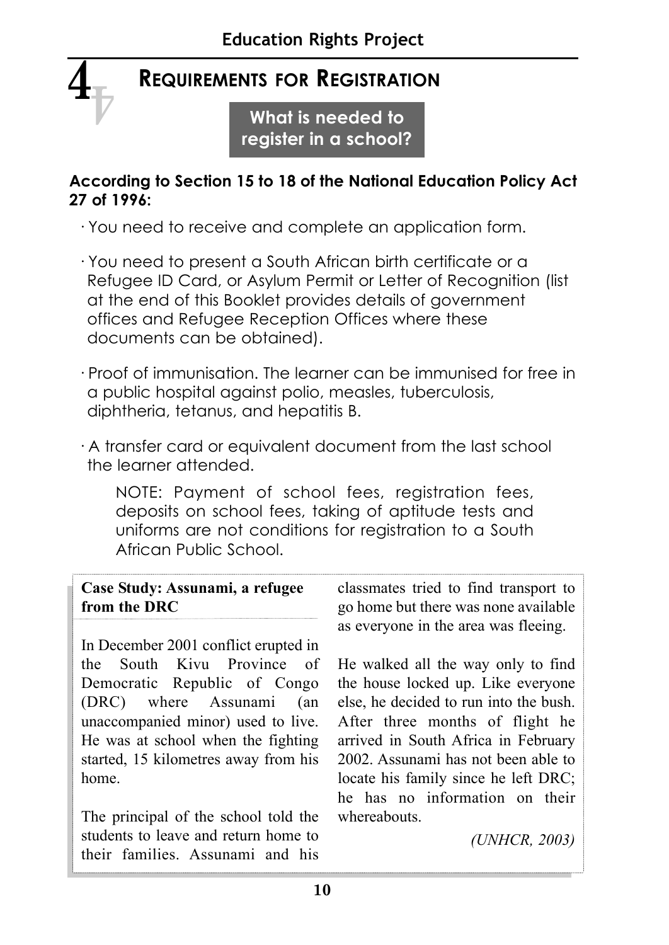## **REQUIREMENTS FOR REGISTRATION**

 $\mathbf{4}_{\overline{\mathbb{V}}}$ 

**What is needed to register in a school?** 

#### **According to Section 15 to 18 of the National Education Policy Act 27 of 1996:**

· You need to receive and complete an application form.

- · You need to present a South African birth certificate or a Refugee ID Card, or Asylum Permit or Letter of Recognition (list at the end of this Booklet provides details of government offices and Refugee Reception Offices where these documents can be obtained).
- · Proof of immunisation. The learner can be immunised for free in a public hospital against polio, measles, tuberculosis, diphtheria, tetanus, and hepatitis B.
- · A transfer card or equivalent document from the last school the learner attended.

NOTE: Payment of school fees, registration fees, deposits on school fees, taking of aptitude tests and uniforms are not conditions for registration to a South African Public School.

#### **Case Study: Assunami, a refugee from the DRC**

In December 2001 conflict erupted in the South Kivu Province of Democratic Republic of Congo (DRC) where Assunami (an unaccompanied minor) used to live. He was at school when the fighting started, 15 kilometres away from his home.

The principal of the school told the students to leave and return home to their families. Assunami and his classmates tried to find transport to go home but there was none available as everyone in the area was fleeing.

He walked all the way only to find the house locked up. Like everyone else, he decided to run into the bush. After three months of flight he arrived in South Africa in February 2002. Assunami has not been able to locate his family since he left DRC; he has no information on their whereabouts.

*(UNHCR, 2003)*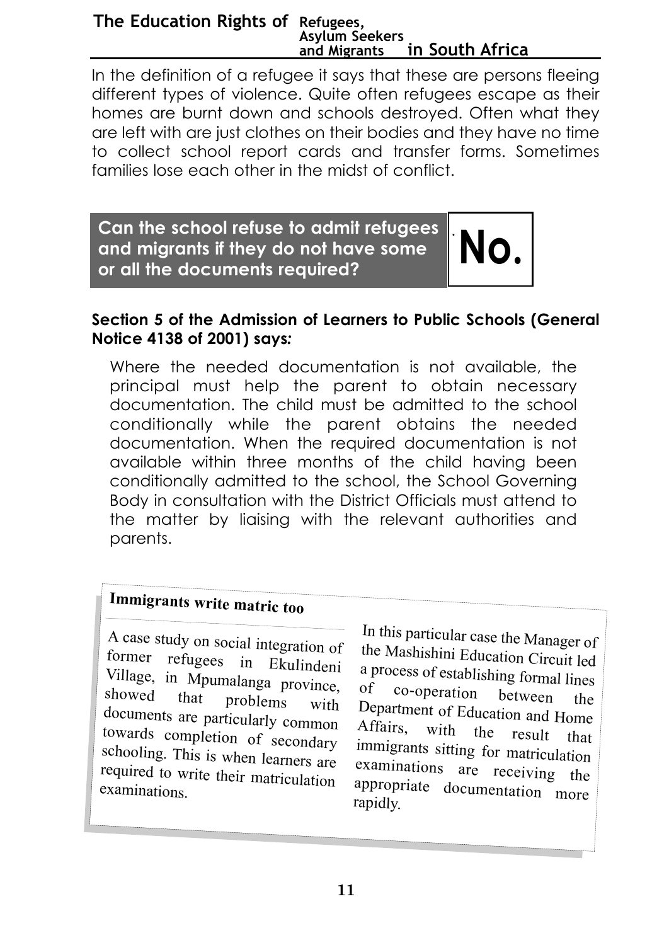#### **The Education Rights of Refugees, Asylum Seekers and Migrants in South Africa**

In the definition of a refugee it says that these are persons fleeing different types of violence. Quite often refugees escape as their homes are burnt down and schools destroyed. Often what they are left with are just clothes on their bodies and they have no time to collect school report cards and transfer forms. Sometimes families lose each other in the midst of conflict.

**Can the school refuse to admit refugees and migrants if they do not have some or all the documents required? No.**

#### **Section 5 of the Admission of Learners to Public Schools (General Notice 4138 of 2001) says***:*

·

Where the needed documentation is not available, the principal must help the parent to obtain necessary documentation. The child must be admitted to the school conditionally while the parent obtains the needed documentation. When the required documentation is not available within three months of the child having been conditionally admitted to the school, the School Governing Body in consultation with the District Officials must attend to the matter by liaising with the relevant authorities and parents.

# **Immigrants write matric too**

<sup>A</sup> case study on social integration of former refugees in Ekulindeni Village, in Mpumalanga province, showed that problems with showed that problems with documents are particularly common towards completion of secondary schooling. This is when learners are required to write their matriculation examinations.

In this particular case the Manager of the Mashishini Education Circuit led a process of establishing formal lines<br>of  $\cos$ -operation co-operation between the Department of Education and Home<br>Affairs with the result of with the result that immigrants sitting for matriculation examinations are receiving the appropriate documentation more rapidly.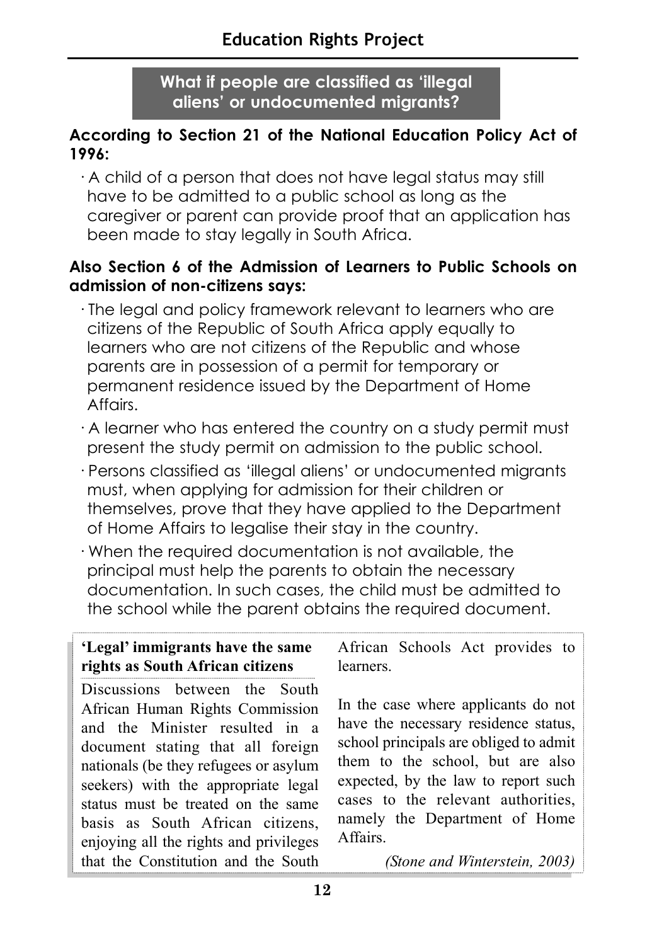**What if people are classified as 'illegal aliens' or undocumented migrants?**

#### **According to Section 21 of the National Education Policy Act of 1996:**

· A child of a person that does not have legal status may still have to be admitted to a public school as long as the caregiver or parent can provide proof that an application has been made to stay legally in South Africa.

#### **Also Section 6 of the Admission of Learners to Public Schools on admission of non-citizens says:**

- · The legal and policy framework relevant to learners who are citizens of the Republic of South Africa apply equally to learners who are not citizens of the Republic and whose parents are in possession of a permit for temporary or permanent residence issued by the Department of Home Affairs.
- · A learner who has entered the country on a study permit must present the study permit on admission to the public school.
- · Persons classified as 'illegal aliens' or undocumented migrants must, when applying for admission for their children or themselves, prove that they have applied to the Department of Home Affairs to legalise their stay in the country.
- · When the required documentation is not available, the principal must help the parents to obtain the necessary documentation. In such cases, the child must be admitted to the school while the parent obtains the required document.

#### **'Legal' immigrants have the same rights as South African citizens**

Discussions between the South African Human Rights Commission and the Minister resulted in a document stating that all foreign nationals (be they refugees or asylum seekers) with the appropriate legal status must be treated on the same basis as South African citizens, enjoying all the rights and privileges that the Constitution and the South

African Schools Act provides to **learners** 

In the case where applicants do not have the necessary residence status, school principals are obliged to admit them to the school, but are also expected, by the law to report such cases to the relevant authorities, namely the Department of Home Affairs.

*(Stone and Winterstein, 2003)*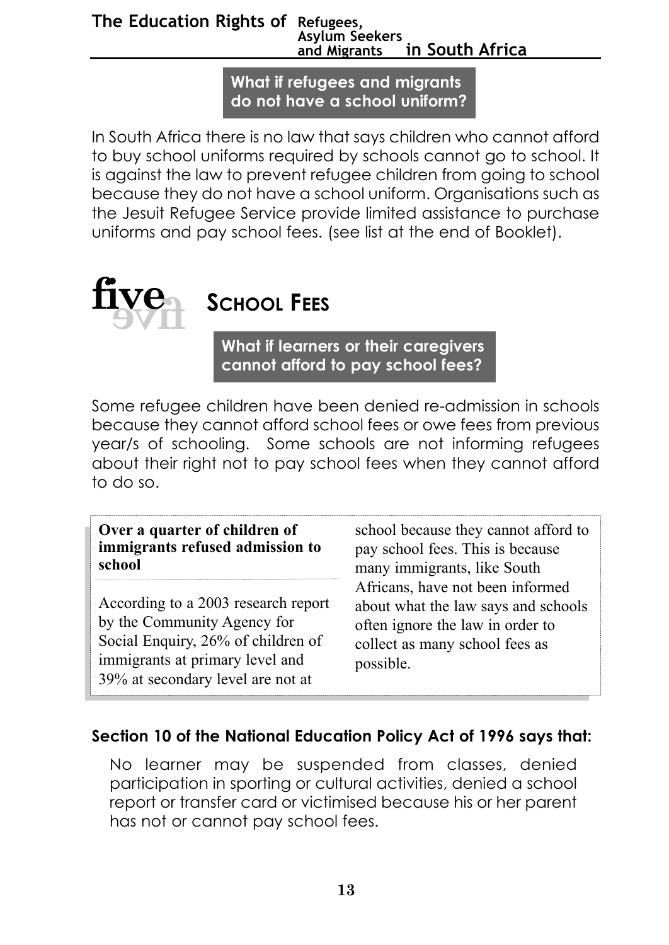#### **The Education Rights of Refugees, Asylum Seekers and Migrants in South Africa**

**What if refugees and migrants do not have a school uniform?** 

In South Africa there is no law that says children who cannot afford to buy school uniforms required by schools cannot go to school. It is against the law to prevent refugee children from going to school because they do not have a school uniform. Organisations such as the Jesuit Refugee Service provide limited assistance to purchase uniforms and pay school fees. (see list at the end of Booklet).



# **SCHOOL FEES**

**What if learners or their caregivers cannot afford to pay school fees?**

Some refugee children have been denied re-admission in schools because they cannot afford school fees or owe fees from previous year/s of schooling. Some schools are not informing refugees about their right not to pay school fees when they cannot afford to do so.

**Over a quarter of children of immigrants refused admission to school**

According to a 2003 research report by the Community Agency for Social Enquiry, 26% of children of immigrants at primary level and 39% at secondary level are not at

school because they cannot afford to pay school fees. This is because many immigrants, like South Africans, have not been informed about what the law says and schools often ignore the law in order to collect as many school fees as possible.

#### **Section 10 of the National Education Policy Act of 1996 says that:**

No learner may be suspended from classes, denied participation in sporting or cultural activities, denied a school report or transfer card or victimised because his or her parent has not or cannot pay school fees.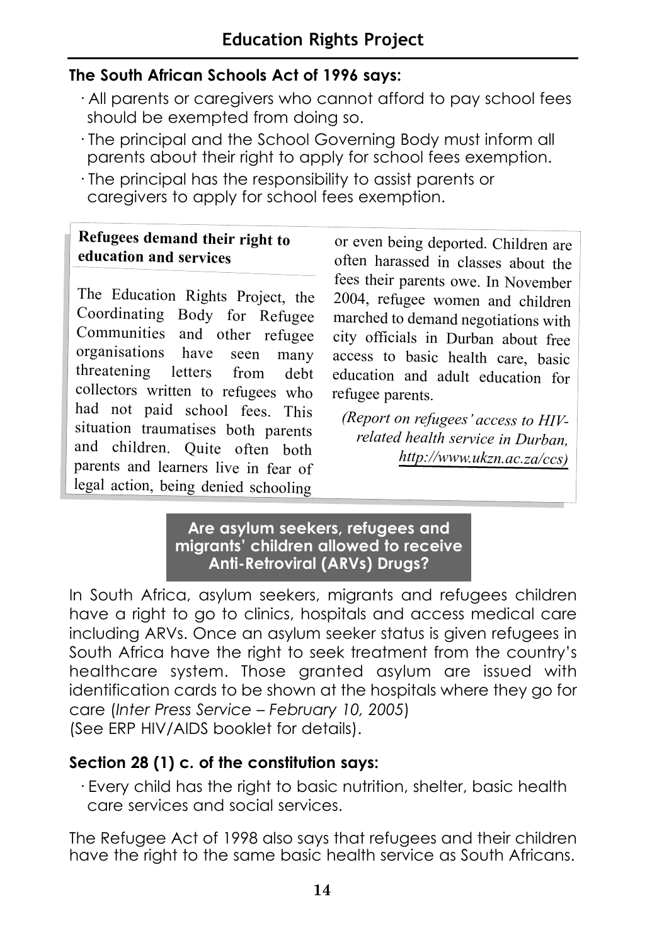#### **The South African Schools Act of 1996 says:**

- · All parents or caregivers who cannot afford to pay school fees should be exempted from doing so.
- · The principal and the School Governing Body must inform all parents about their right to apply for school fees exemption.
- · The principal has the responsibility to assist parents or caregivers to apply for school fees exemption.

#### **Refugees demand their right to education and services**

The Education Rights Project, the Coordinating Body for Refugee Communities and other refugee organisations have seen many threatening letters from debt collectors written to refugees who had not paid school fees. This situation traumatises both parents and children. Quite often both parents and learners live in fear of legal action, being denied schooling

or even being deported. Children are often harassed in classes about the fees their parents owe. In November 2004, refugee women and children marched to demand negotiations with city officials in Durban about free access to basic health care, basic education and adult education for refugee parents.

*(Report on refugees' access to HIVrelated health service in Durban, http://www.ukzn.ac.za/ccs)*

#### **Are asylum seekers, refugees and migrants' children allowed to receive Anti-Retroviral (ARVs) Drugs?**

In South Africa, asylum seekers, migrants and refugees children have a right to go to clinics, hospitals and access medical care including ARVs. Once an asylum seeker status is given refugees in South Africa have the right to seek treatment from the country's healthcare system. Those granted asylum are issued with identification cards to be shown at the hospitals where they go for care (*Inter Press Service* – *February 10, 2005*) (See ERP HIV/AIDS booklet for details).

#### **Section 28 (1) c. of the constitution says:**

· Every child has the right to basic nutrition, shelter, basic health care services and social services.

The Refugee Act of 1998 also says that refugees and their children have the right to the same basic health service as South Africans.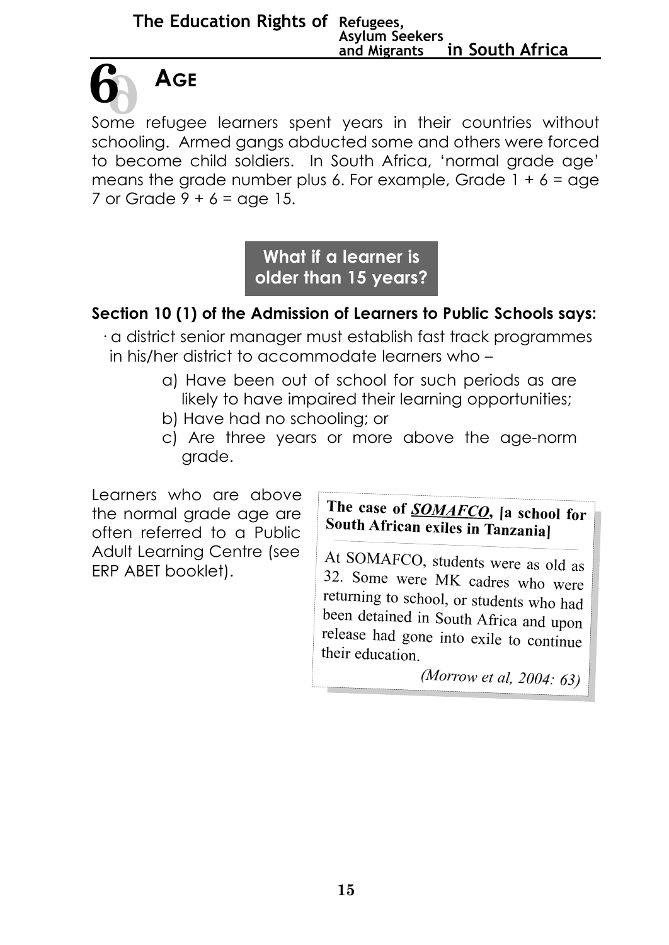Some refugee learners spent years in their countries without schooling. Armed gangs abducted some and others were forced to become child soldiers. In South Africa, 'normal grade age' means the grade number plus 6. For example, Grade  $1 + 6 =$  age 7 or Grade  $9 + 6 =$  age 15. **6 6**

> **What if a learner is older than 15 years?**

#### **Section 10 (1) of the Admission of Learners to Public Schools says:**

- · a district senior manager must establish fast track programmes in his/her district to accommodate learners who –
	- a) Have been out of school for such periods as are likely to have impaired their learning opportunities;
	- b) Have had no schooling; or
	- c) Are three years or more above the age-norm grade.

Learners who are above the normal grade age are often referred to a Public Adult Learning Centre (see ERP ABET booklet).

**AGE**

**The case of** *SOMAFCO***, [a school for South African exiles in Tanzania]** 

At SOMAFCO, students were as old as 32. Some were MK cadres who were returning to school, or students who had been detained in South Africa and upon release had gone into exile to continue their education.

*(Morrow et al, 2004: 63)*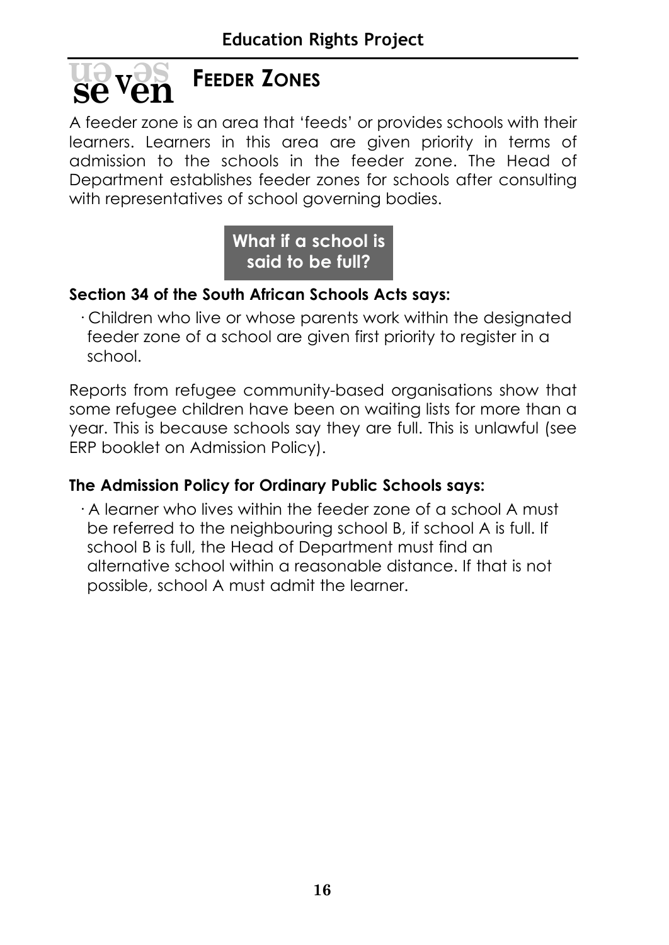# **FEEDER ZONES se**<sup>v</sup>en

A feeder zone is an area that 'feeds' or provides schools with their learners. Learners in this area are given priority in terms of admission to the schools in the feeder zone. The Head of Department establishes feeder zones for schools after consulting with representatives of school governing bodies.

#### **What if a school is said to be full?**

#### **Section 34 of the South African Schools Acts says:**

· Children who live or whose parents work within the designated feeder zone of a school are given first priority to register in a school.

Reports from refugee community-based organisations show that some refugee children have been on waiting lists for more than a year. This is because schools say they are full. This is unlawful (see ERP booklet on Admission Policy).

#### **The Admission Policy for Ordinary Public Schools says:**

· A learner who lives within the feeder zone of a school A must be referred to the neighbouring school B, if school A is full. If school B is full, the Head of Department must find an alternative school within a reasonable distance. If that is not possible, school A must admit the learner.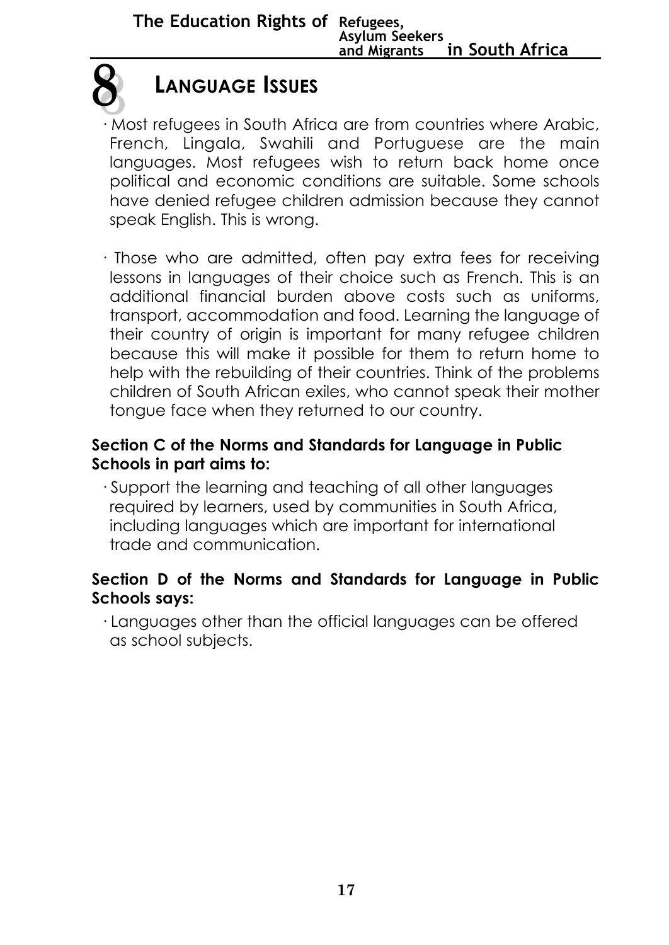

# **LANGUAGE ISSUES**

- · Most refugees in South Africa are from countries where Arabic, French, Lingala, Swahili and Portuguese are the main languages. Most refugees wish to return back home once political and economic conditions are suitable. Some schools have denied refugee children admission because they cannot speak English. This is wrong.
- · Those who are admitted, often pay extra fees for receiving lessons in languages of their choice such as French. This is an additional financial burden above costs such as uniforms, transport, accommodation and food. Learning the language of their country of origin is important for many refugee children because this will make it possible for them to return home to help with the rebuilding of their countries. Think of the problems children of South African exiles, who cannot speak their mother tongue face when they returned to our country.

#### **Section C of the Norms and Standards for Language in Public Schools in part aims to:**

· Support the learning and teaching of all other languages required by learners, used by communities in South Africa, including languages which are important for international trade and communication.

#### **Section D of the Norms and Standards for Language in Public Schools says:**

· Languages other than the official languages can be offered as school subjects.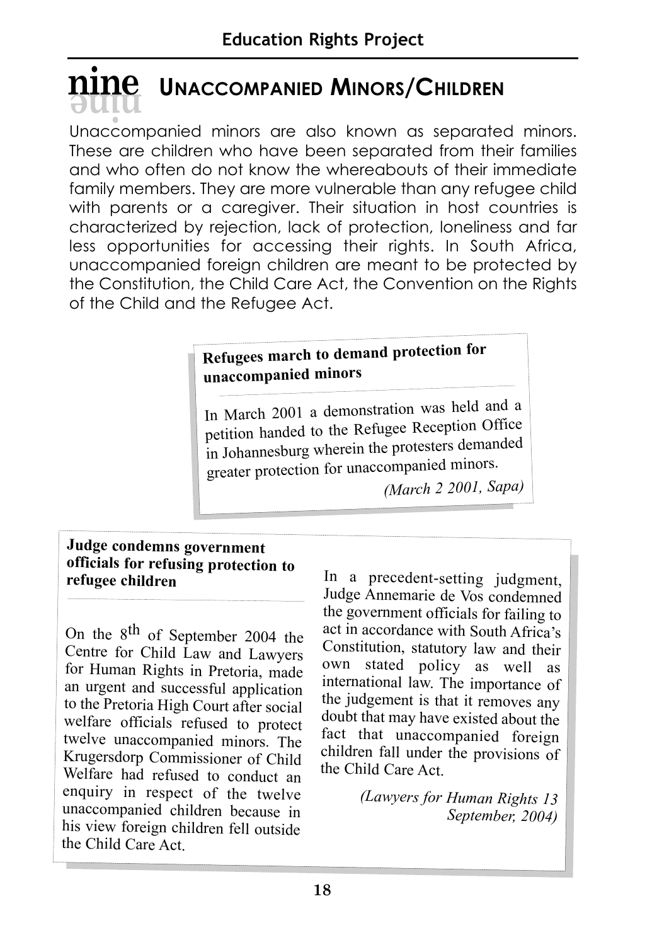# $\overline{n}$ **INACCOMPANIED MINORS/CHILDREN**

Unaccompanied minors are also known as separated minors. These are children who have been separated from their families and who often do not know the whereabouts of their immediate family members. They are more vulnerable than any refugee child with parents or a caregiver. Their situation in host countries is characterized by rejection, lack of protection, loneliness and far less opportunities for accessing their rights. In South Africa, unaccompanied foreign children are meant to be protected by the Constitution, the Child Care Act, the Convention on the Rights of the Child and the Refugee Act.

#### **Refugees march to demand protection for unaccompanied minors**

In March 2001 a demonstration was held and a petition handed to the Refugee Reception Office in Johannesburg wherein the protesters demanded greater protection for unaccompanied minors.

*(March 2 2001, Sapa)*

#### **Judge condemns government officials for refusing protection to refugee children**

On the 8th of September 2004 the Centre for Child Law and Lawyers for Human Rights in Pretoria, made an urgent and successful application to the Pretoria High Court after social welfare officials refused to protect twelve unaccompanied minors. The Krugersdorp Commissioner of Child Welfare had refused to conduct an enquiry in respect of the twelve unaccompanied children because in his view foreign children fell outside the Child Care Act.

In a precedent-setting judgment, Judge Annemarie de Vos condemned the government officials for failing to act in accordance with South Africa's Constitution, statutory law and their own stated policy as well as international law. The importance of the judgement is that it removes any doubt that may have existed about the fact that unaccompanied foreign children fall under the provisions of the Child Care Act.

> *(Lawyers for Human Rights 13 September, 2004)*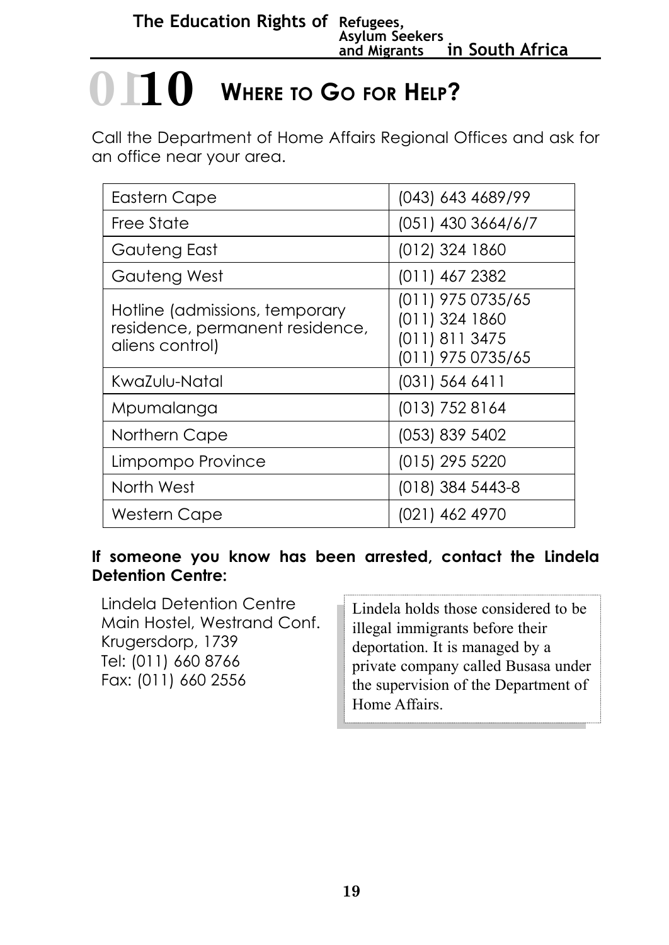# $\bigcirc$  **110** Where to Go for Help?

Call the Department of Home Affairs Regional Offices and ask for an office near your area.

| <b>Eastern Cape</b>                                                                  | (043) 643 4689/99                                                          |
|--------------------------------------------------------------------------------------|----------------------------------------------------------------------------|
| Free State                                                                           | $(051)$ 430 3664/6/7                                                       |
| Gauteng East                                                                         | (012) 324 1860                                                             |
| Gauteng West                                                                         | (011) 467 2382                                                             |
| Hotline (admissions, temporary<br>residence, permanent residence,<br>aliens control) | (011) 975 0735/65<br>(011) 324 1860<br>(011) 811 3475<br>(011) 975 0735/65 |
| KwaZulu-Natal                                                                        | $(031)$ 564 6411                                                           |
| Mpumalanga                                                                           | $(013)$ 752 8164                                                           |
| Northern Cape                                                                        | (053) 839 5402                                                             |
| Limpompo Province                                                                    | (015) 295 5220                                                             |
| North West                                                                           | (018) 384 5443-8                                                           |
| Western Cape                                                                         | (021) 462 4970                                                             |

#### **If someone you know has been arrested, contact the Lindela Detention Centre:**

Lindela Detention Centre Main Hostel, Westrand Conf. Krugersdorp, 1739 Tel: (011) 660 8766 Fax: (011) 660 2556

Lindela holds those considered to be illegal immigrants before their deportation. It is managed by a private company called Busasa under the supervision of the Department of Home Affairs.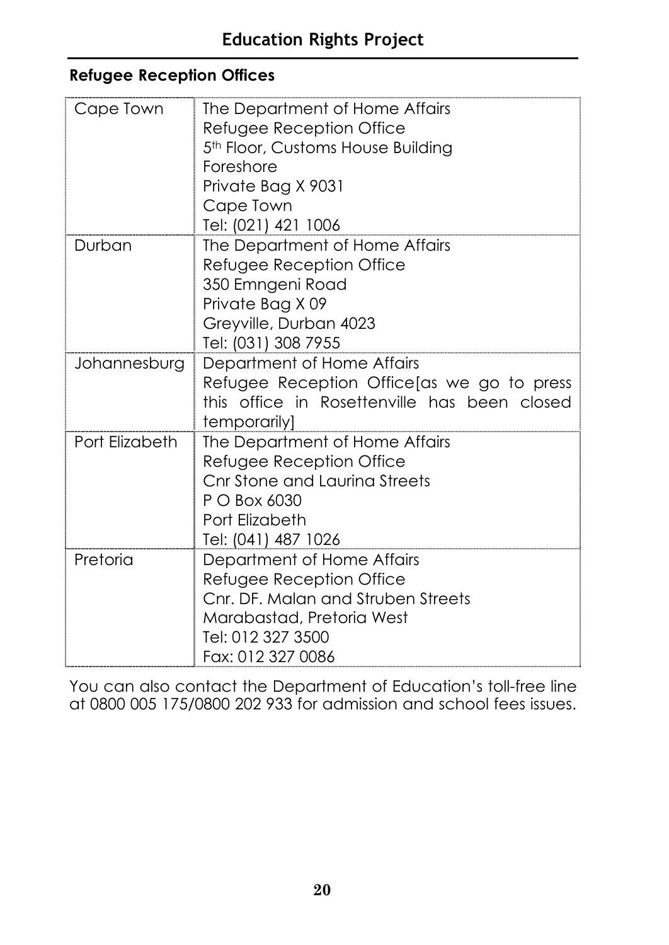#### **Refugee Reception Offices**

| Cape Town      | The Department of Home Affairs<br>Refugee Reception Office<br>5th Floor, Customs House Building<br>Foreshore<br>Private Bag X 9031<br>Cape Town<br>Tel: (021) 421 1006 |
|----------------|------------------------------------------------------------------------------------------------------------------------------------------------------------------------|
| Durban         | The Department of Home Affairs<br>Refugee Reception Office<br>350 Emngeni Road<br>Private Bag X 09<br>Greyville, Durban 4023<br>Tel: (031) 308 7955                    |
| Johannesburg   | Department of Home Affairs<br>Refugee Reception Office as we go to press<br>this office in Rosettenville has been closed<br>temporarily]                               |
| Port Elizabeth | The Department of Home Affairs<br>Refugee Reception Office<br>Cnr Stone and Laurina Streets<br>P O Box 6030<br>Port Elizabeth<br>Tel: (041) 487 1026                   |
| Pretoria       | Department of Home Affairs<br>Refugee Reception Office<br>Cnr. DF. Malan and Struben Streets<br>Marabastad, Pretoria West<br>Tel: 012 327 3500<br>Fax: 012 327 0086    |

You can also contact the Department of Education's toll-free line at 0800 005 175/0800 202 933 for admission and school fees issues.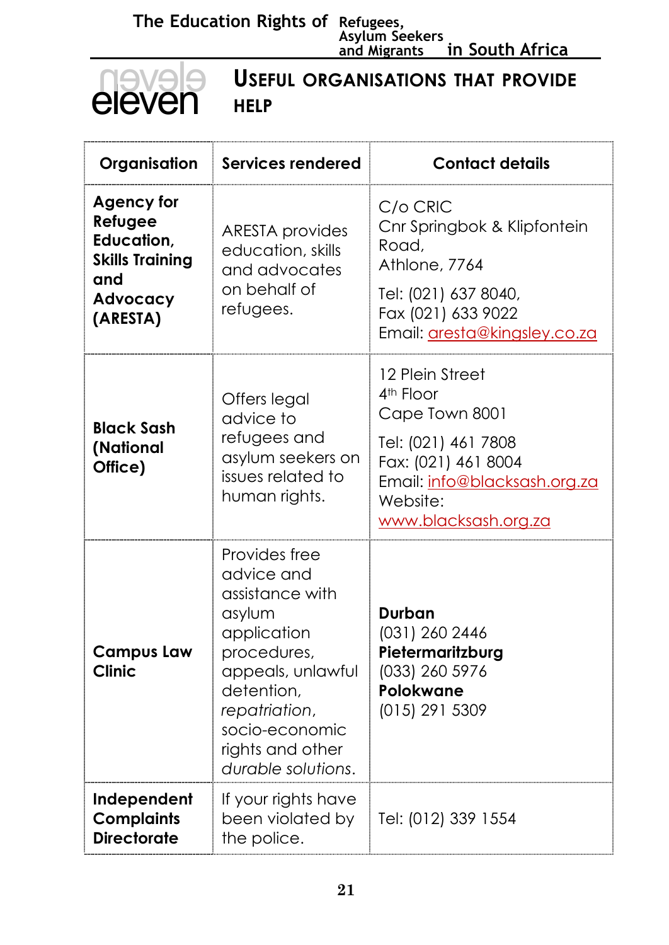**The Education Rights of Refugees, Asylum Seekers and Migrants in South Africa**

| <b>USEFUL ORGANISATIONS THAT PROVIDE</b><br>eleven<br><b>HELP</b>                                   |                                                                                                                                                                                                        |                                                                                                                                                                              |
|-----------------------------------------------------------------------------------------------------|--------------------------------------------------------------------------------------------------------------------------------------------------------------------------------------------------------|------------------------------------------------------------------------------------------------------------------------------------------------------------------------------|
| Organisation                                                                                        | <b>Services rendered</b>                                                                                                                                                                               | <b>Contact details</b>                                                                                                                                                       |
| <b>Agency for</b><br>Refugee<br>Education,<br><b>Skills Training</b><br>and<br>Advocacy<br>(ARESTA) | <b>ARESTA</b> provides<br>education, skills<br>and advocates<br>on behalf of<br>refugees.                                                                                                              | C/o CRIC<br>Cnr Springbok & Klipfontein<br>Road,<br>Athlone, 7764<br>Tel: (021) 637 8040,<br>Fax (021) 633 9022<br>Email: aresta@kingsley.co.za                              |
| <b>Black Sash</b><br>(National<br>Office)                                                           | Offers legal<br>advice to<br>refugees and<br>asylum seekers on<br>issues related to<br>human rights.                                                                                                   | 12 Plein Street<br>4 <sup>th</sup> Floor<br>Cape Town 8001<br>Tel: (021) 461 7808<br>Fax: (021) 461 8004<br>Email: info@blacksash.org.za<br>Website:<br>www.blacksash.org.za |
| <b>Campus Law</b><br><b>Clinic</b>                                                                  | Provides free<br>advice and<br>assistance with<br>asylum<br>application<br>procedures,<br>appeals, unlawful<br>detention,<br>repatriation,<br>socio-economic<br>rights and other<br>durable solutions. | Durban<br>(031) 260 2446<br>Pietermaritzburg<br>(033) 260 5976<br>Polokwane<br>(015) 291 5309                                                                                |
| Independent<br><b>Complaints</b><br><b>Directorate</b>                                              | If your rights have<br>been violated by<br>the police.                                                                                                                                                 | Tel: (012) 339 1554                                                                                                                                                          |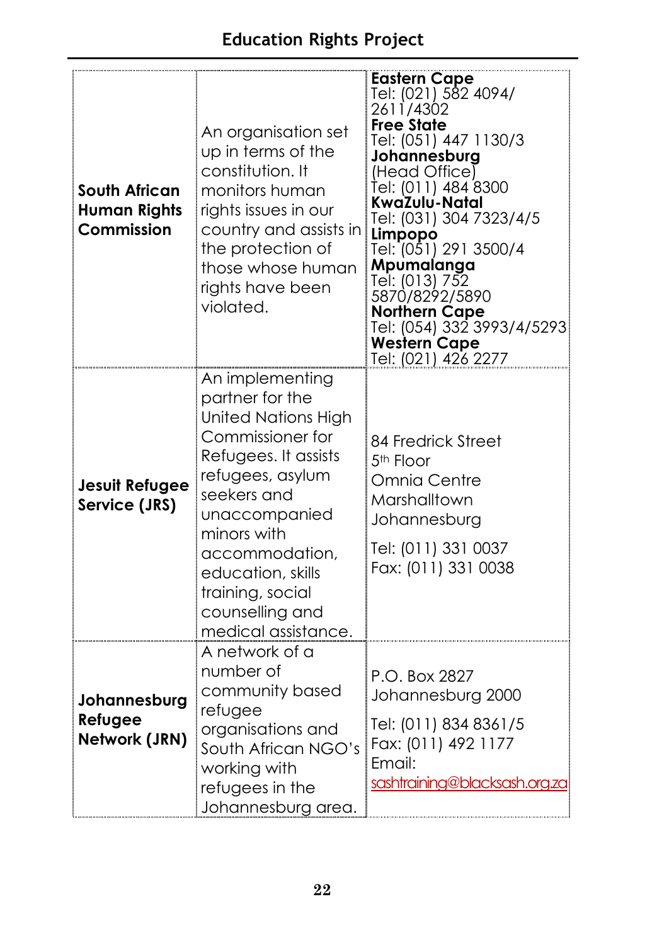| <b>South African</b><br><b>Human Rights</b><br>Commission | An organisation set<br>up in terms of the<br>constitution. It<br>monitors human<br>rights issues in our<br>country and assists in<br>the protection of<br>those whose human<br>rights have been<br>violated.                                                                         | <b>Eastern Cape</b><br>Tel: (021) 582 4094/<br>2611/4302<br><b>Free State</b><br>Tel: (051) 447 1130/3<br>Johannesburg<br>(Head Office)<br>Ťel: (011) 484 8300<br>KwaZulu-Natal<br>Tel: (031) 304 7323/4/5<br>Limpopo<br>Tel: (051) 291 3500/4<br>Mpumalanga<br>Tel: (013) 752<br>5870/8292/5890<br><b>Northern Cape</b><br>Tel: (054) 332 3993/4/5293<br><b>Western Cape</b><br>Tel: (021) 426 2277 |
|-----------------------------------------------------------|--------------------------------------------------------------------------------------------------------------------------------------------------------------------------------------------------------------------------------------------------------------------------------------|------------------------------------------------------------------------------------------------------------------------------------------------------------------------------------------------------------------------------------------------------------------------------------------------------------------------------------------------------------------------------------------------------|
| <b>Jesuit Refugee</b><br>Service (JRS)                    | An implementing<br>partner for the<br><b>United Nations High</b><br>Commissioner for<br>Refugees. It assists<br>refugees, asylum<br>seekers and<br>unaccompanied<br>minors with<br>accommodation,<br>education, skills<br>training, social<br>counselling and<br>medical assistance. | 84 Fredrick Street<br>5 <sup>th</sup> Floor<br>Omnia Centre<br>Marshalltown<br>Johannesburg<br>Tel: (011) 331 0037<br>Fax: (011) 331 0038                                                                                                                                                                                                                                                            |
| Johannesburg<br>Refugee<br>Network (JRN)                  | A network of a<br>number of<br>community based<br>refugee<br>organisations and<br>South African NGO's<br>working with<br>refugees in the<br>Johannesburg area.                                                                                                                       | P.O. Box 2827<br>Johannesburg 2000<br>Tel: (011) 834 8361/5<br>Fax: (011) 492 1177<br>Email:<br>sashtraining@blacksash.org.zaj                                                                                                                                                                                                                                                                       |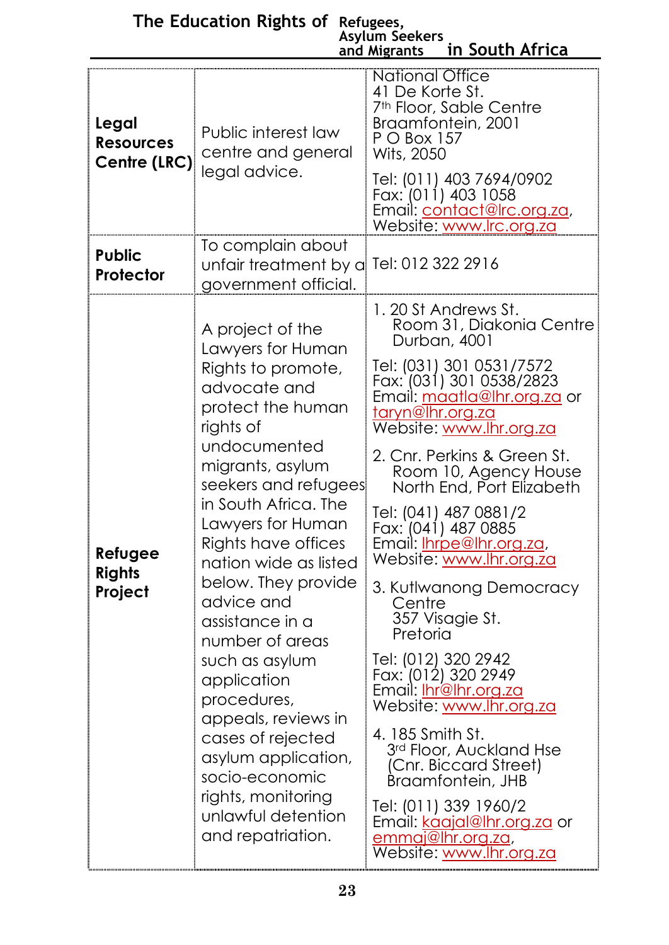|                                           |                                                                                                                                                                                                                                                                                                                                                                                                                                                                                                                                                         | Asylum Seekers<br>in South Africa<br>and Migrants                                                                                                                                                                                                                                                                                                                                                                                                                                                                                                                                                                                                                                                                                                                                                 |
|-------------------------------------------|---------------------------------------------------------------------------------------------------------------------------------------------------------------------------------------------------------------------------------------------------------------------------------------------------------------------------------------------------------------------------------------------------------------------------------------------------------------------------------------------------------------------------------------------------------|---------------------------------------------------------------------------------------------------------------------------------------------------------------------------------------------------------------------------------------------------------------------------------------------------------------------------------------------------------------------------------------------------------------------------------------------------------------------------------------------------------------------------------------------------------------------------------------------------------------------------------------------------------------------------------------------------------------------------------------------------------------------------------------------------|
| Legal<br><b>Resources</b><br>Centre (LRC) | Public interest law<br>centre and general<br>legal advice.                                                                                                                                                                                                                                                                                                                                                                                                                                                                                              | <b>National Office</b><br>41 De Korte St.<br>7 <sup>th</sup> Floor, Sable Centre<br>Braamfontein, 2001<br>P O Box 157<br>Wits, 2050<br>Tel: (011) 403 7694/0902<br>Fax: (011) 403 1058<br>Email: <u>contact@lrc.org.za</u> ,<br>Website: www.lrc.org.za                                                                                                                                                                                                                                                                                                                                                                                                                                                                                                                                           |
| <b>Public</b><br>Protector                | To complain about<br>unfair treatment by a Tel: 012 322 2916<br>government official.                                                                                                                                                                                                                                                                                                                                                                                                                                                                    |                                                                                                                                                                                                                                                                                                                                                                                                                                                                                                                                                                                                                                                                                                                                                                                                   |
| Refugee<br><b>Rights</b><br>Project       | A project of the<br>Lawyers for Human<br>Rights to promote,<br>advocate and<br>protect the human<br>rights of<br>undocumented<br>migrants, asylum<br>seekers and refugees<br>in South Africa. The<br>Lawyers for Human<br>Rights have offices<br>nation wide as listed<br>below. They provide<br>advice and<br>assistance in a<br>number of areas<br>such as asylum<br>application<br>procedures,<br>appeals, reviews in<br>cases of rejected<br>asylum application,<br>socio-economic<br>rights, monitoring<br>unlawful detention<br>and repatriation. | 1. 20 St Andrews St.<br>Room 31, Diakonia Centre<br>Durban, 4001<br>Tel: (031) 301 0531/7572<br>Fax: (031) 301 0538/2823<br>Email: <u>maatla@lhr.org.za</u> or<br><u>taryn@lhr.org.za</u><br>Website: www.lhr.org.za<br>2. Cnr. Perkins & Green St.<br>Room 10, Agency House<br>North End, Port Elizabeth<br>Tel: (041) 487 0881/2<br>Fax: (041) 487 0885<br>Email: Ihrpe@Ihr.org.za,<br>Website: www.lhr.org.za<br>3. Kutlwanong Democracy<br>Centre<br>357 Visagie St.<br>Pretoria<br>Tel: (012) 320 2942<br>Fax: (012) 320 2949<br>Email: <u>Ihr@lhr.org.za</u><br>Website: www.lhr.org.za<br>4. 185 Smith St.<br>3rd Floor, Auckland Hse<br>(Cnr. Biccard Street)<br>Braamfontein, JHB<br>Tel: (011) 339 1960/2<br>Email: kaajal@lhr.org.za or<br>emmaj@hr.org.za,<br>Website: www.lhr.org.za |

#### **The Education Rights of Refugees, Asylum Seekers**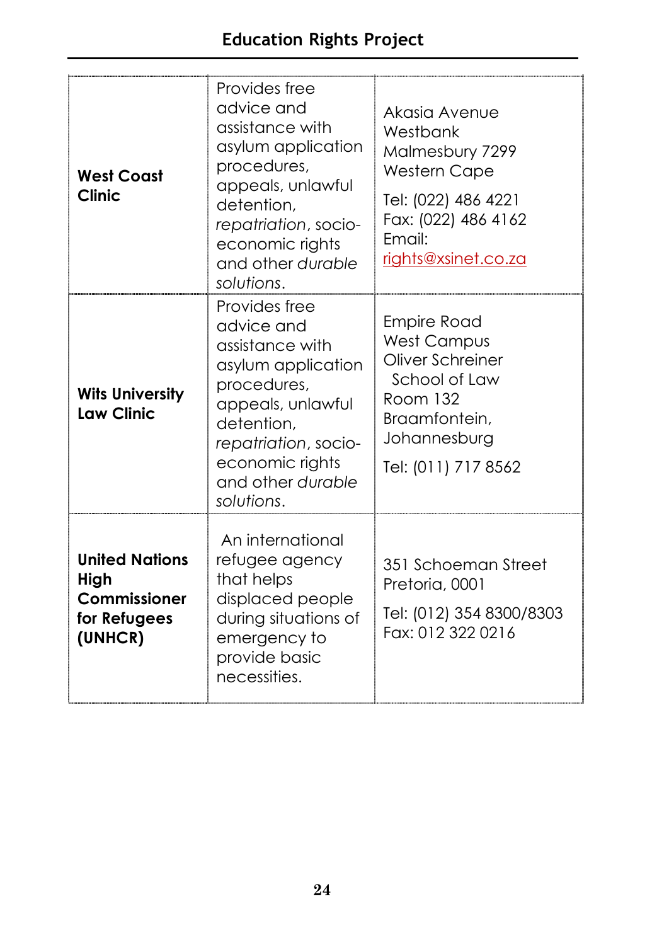| <b>West Coast</b><br><b>Clinic</b>                                       | Provides free<br>advice and<br>assistance with<br>asylum application<br>procedures,<br>appeals, unlawful<br>detention,<br>repatriation, socio-<br>economic rights<br>and other durable<br>solutions. | Akasia Avenue<br>Westbank<br>Malmesbury 7299<br><b>Western Cape</b><br>Tel: (022) 486 4221<br>Fax: (022) 486 4162<br>Fmail:<br>rights@xsinet.co.za |
|--------------------------------------------------------------------------|------------------------------------------------------------------------------------------------------------------------------------------------------------------------------------------------------|----------------------------------------------------------------------------------------------------------------------------------------------------|
| <b>Wits University</b><br><b>Law Clinic</b>                              | Provides free<br>advice and<br>assistance with<br>asylum application<br>procedures,<br>appeals, unlawful<br>detention,<br>repatriation, socio-<br>economic rights<br>and other durable<br>solutions. | <b>Empire Road</b><br><b>West Campus</b><br>Oliver Schreiner<br>School of Law<br>Room 132<br>Braamfontein,<br>Johannesburg<br>Tel: (011) 717 8562  |
| <b>United Nations</b><br>High<br>Commissioner<br>for Refugees<br>(UNHCR) | An international<br>refugee agency<br>that helps<br>displaced people<br>during situations of<br>emergency to<br>provide basic<br>necessities.                                                        | 351 Schoeman Street<br>Pretoria, 0001<br>Tel: (012) 354 8300/8303<br>Fax: 012 322 0216                                                             |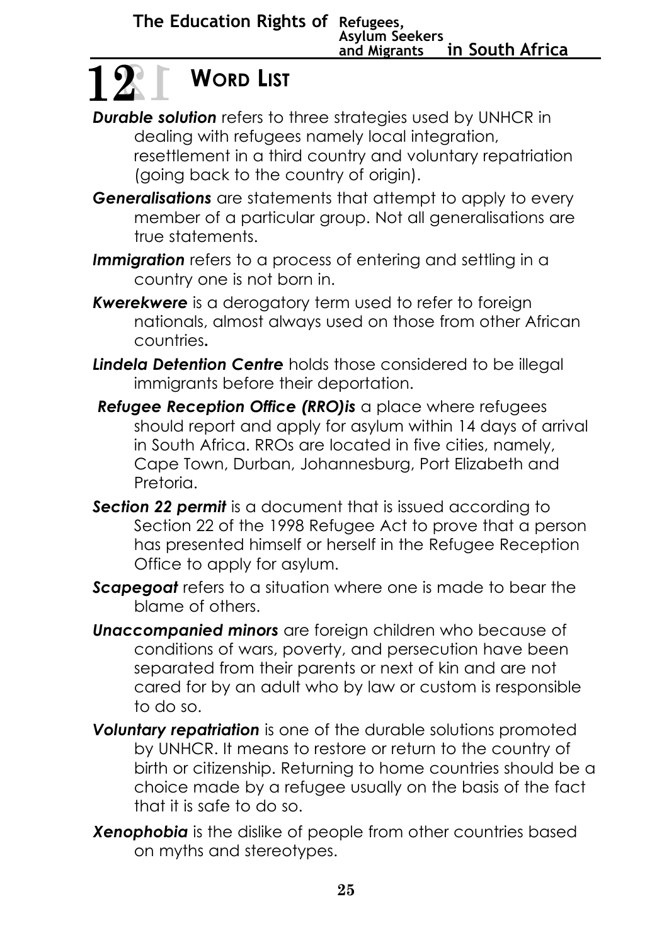## **WORD LIST 12 12**

- **Durable solution** refers to three strategies used by UNHCR in dealing with refugees namely local integration, resettlement in a third country and voluntary repatriation (going back to the country of origin).
- **Generalisations** are statements that attempt to apply to every member of a particular group. Not all generalisations are true statements.
- **Immigration** refers to a process of entering and settling in a country one is not born in.
- *Kwerekwere* is a derogatory term used to refer to foreign nationals, almost always used on those from other African countries**.**
- *Lindela Detention Centre* holds those considered to be illegal immigrants before their deportation.
- *Refugee Reception Office (RRO)is* a place where refugees should report and apply for asylum within 14 days of arrival in South Africa. RROs are located in five cities, namely, Cape Town, Durban, Johannesburg, Port Elizabeth and Pretoria.
- **Section 22 permit** is a document that is issued according to Section 22 of the 1998 Refugee Act to prove that a person has presented himself or herself in the Refugee Reception Office to apply for asylum.
- *Scapegoat* refers to a situation where one is made to bear the blame of others.
- *Unaccompanied minors* are foreign children who because of conditions of wars, poverty, and persecution have been separated from their parents or next of kin and are not cared for by an adult who by law or custom is responsible to do so.
- *Voluntary repatriation* is one of the durable solutions promoted by UNHCR. It means to restore or return to the country of birth or citizenship. Returning to home countries should be a choice made by a refugee usually on the basis of the fact that it is safe to do so.
- *Xenophobia* is the dislike of people from other countries based on myths and stereotypes.